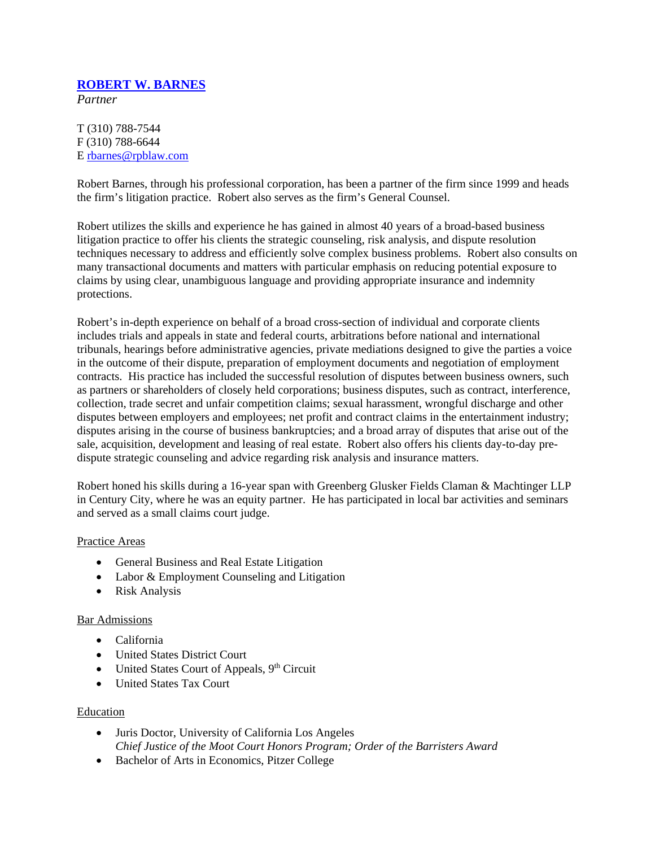# **ROBERT W. BARNES**

*Partner*

T (310) 788-7544 F (310) 788-6644 E rbarnes@rpblaw.com

Robert Barnes, through his professional corporation, has been a partner of the firm since 1999 and heads the firm's litigation practice. Robert also serves as the firm's General Counsel.

Robert utilizes the skills and experience he has gained in almost 40 years of a broad-based business litigation practice to offer his clients the strategic counseling, risk analysis, and dispute resolution techniques necessary to address and efficiently solve complex business problems. Robert also consults on many transactional documents and matters with particular emphasis on reducing potential exposure to claims by using clear, unambiguous language and providing appropriate insurance and indemnity protections.

Robert's in-depth experience on behalf of a broad cross-section of individual and corporate clients includes trials and appeals in state and federal courts, arbitrations before national and international tribunals, hearings before administrative agencies, private mediations designed to give the parties a voice in the outcome of their dispute, preparation of employment documents and negotiation of employment contracts. His practice has included the successful resolution of disputes between business owners, such as partners or shareholders of closely held corporations; business disputes, such as contract, interference, collection, trade secret and unfair competition claims; sexual harassment, wrongful discharge and other disputes between employers and employees; net profit and contract claims in the entertainment industry; disputes arising in the course of business bankruptcies; and a broad array of disputes that arise out of the sale, acquisition, development and leasing of real estate. Robert also offers his clients day-to-day predispute strategic counseling and advice regarding risk analysis and insurance matters.

Robert honed his skills during a 16-year span with Greenberg Glusker Fields Claman & Machtinger LLP in Century City, where he was an equity partner. He has participated in local bar activities and seminars and served as a small claims court judge.

#### Practice Areas

- General Business and Real Estate Litigation
- Labor & Employment Counseling and Litigation
- Risk Analysis

#### Bar Admissions

- California
- United States District Court
- United States Court of Appeals,  $9<sup>th</sup>$  Circuit
- United States Tax Court

## Education

- Juris Doctor, University of California Los Angeles *Chief Justice of the Moot Court Honors Program; Order of the Barristers Award*
- Bachelor of Arts in Economics, Pitzer College